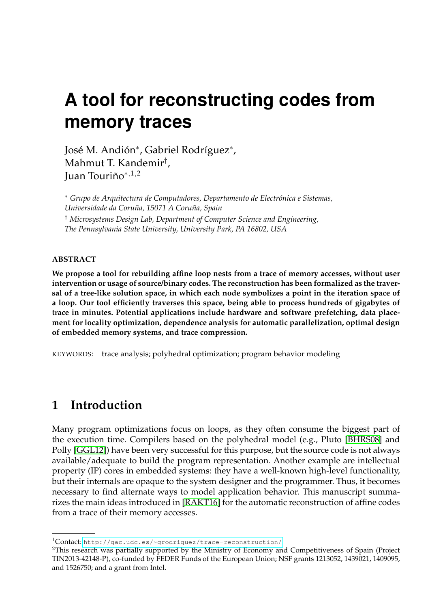# **A tool for reconstructing codes from memory traces**

José M. Andión<sup>∗</sup> , Gabriel Rodríguez<sup>∗</sup> , Mahmut T. Kandemir† , Juan Touriño<sup>∗</sup>,1,<sup>2</sup>

<sup>∗</sup> *Grupo de Arquitectura de Computadores, Departamento de Electrónica e Sistemas, Universidade da Coruña, 15071 A Coruña, Spain* † *Microsystems Design Lab, Department of Computer Science and Engineering, The Pennsylvania State University, University Park, PA 16802, USA*

#### **ABSTRACT**

**We propose a tool for rebuilding affine loop nests from a trace of memory accesses, without user intervention or usage of source/binary codes. The reconstruction has been formalized as the traversal of a tree-like solution space, in which each node symbolizes a point in the iteration space of a loop. Our tool efficiently traverses this space, being able to process hundreds of gigabytes of trace in minutes. Potential applications include hardware and software prefetching, data placement for locality optimization, dependence analysis for automatic parallelization, optimal design of embedded memory systems, and trace compression.**

KEYWORDS: trace analysis; polyhedral optimization; program behavior modeling

## **1 Introduction**

Many program optimizations focus on loops, as they often consume the biggest part of the execution time. Compilers based on the polyhedral model (e.g., Pluto [\[BHRS08\]](#page-2-0) and Polly [\[GGL12\]](#page-2-1)) have been very successful for this purpose, but the source code is not always available/adequate to build the program representation. Another example are intellectual property (IP) cores in embedded systems: they have a well-known high-level functionality, but their internals are opaque to the system designer and the programmer. Thus, it becomes necessary to find alternate ways to model application behavior. This manuscript summarizes the main ideas introduced in [\[RAKT16\]](#page-2-2) for the automatic reconstruction of affine codes from a trace of their memory accesses.

<sup>1</sup>Contact: <http://gac.udc.es/~grodriguez/trace-reconstruction/>

<sup>2</sup>This research was partially supported by the Ministry of Economy and Competitiveness of Spain (Project TIN2013-42148-P), co-funded by FEDER Funds of the European Union; NSF grants 1213052, 1439021, 1409095, and 1526750; and a grant from Intel.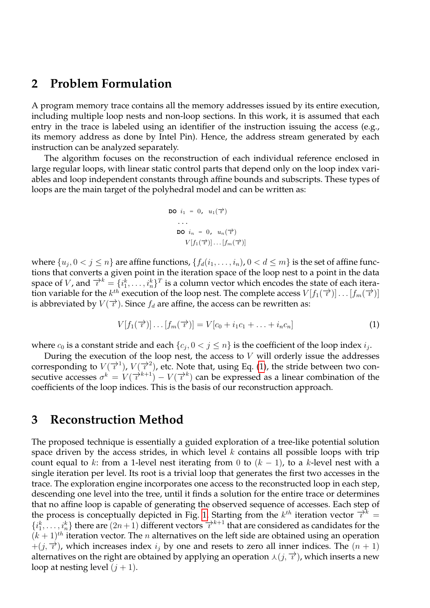#### **2 Problem Formulation**

A program memory trace contains all the memory addresses issued by its entire execution, including multiple loop nests and non-loop sections. In this work, it is assumed that each entry in the trace is labeled using an identifier of the instruction issuing the access (e.g., its memory address as done by Intel Pin). Hence, the address stream generated by each instruction can be analyzed separately.

The algorithm focuses on the reconstruction of each individual reference enclosed in large regular loops, with linear static control parts that depend only on the loop index variables and loop independent constants through affine bounds and subscripts. These types of loops are the main target of the polyhedral model and can be written as:

$$
\begin{aligned}\n\text{DO} \quad i_1 &= 0, \quad u_1(\overrightarrow{\tau}) \\
&\cdots \\
\text{DO} \quad i_n &= 0, \quad u_n(\overrightarrow{\tau}) \\
&\qquad V[f_1(\overrightarrow{\tau})] \dots [f_m(\overrightarrow{\tau})]\n\end{aligned}
$$

where  $\{u_j, 0 < j \le n\}$  are affine functions,  $\{f_d(i_1, \ldots, i_n), 0 < d \le m\}$  is the set of affine functions that converts a given point in the iteration space of the loop nest to a point in the data space of V, and  $\vec{v}^k = \{i_1^k, \ldots, i_n^k\}^T$  is a column vector which encodes the state of each iteration variable for the  $k^{th}$  execution of the loop nest. The complete access  $V[f_1(\overrightarrow{r})] \dots [f_m(\overrightarrow{r})]$ is abbreviated by  $V(\vec{\tau})$ . Since  $f_d$  are affine, the access can be rewritten as:

<span id="page-1-0"></span>
$$
V[f_1(\overrightarrow{r})] \dots [f_m(\overrightarrow{r})] = V[c_0 + i_1c_1 + \dots + i_nc_n]
$$
\n(1)

where  $c_0$  is a constant stride and each  $\{c_j, 0 < j \le n\}$  is the coefficient of the loop index  $i_j$ .

During the execution of the loop nest, the access to  $V$  will orderly issue the addresses corresponding to  $V(\overrightarrow{i})$ ,  $V(\overrightarrow{i})$ , etc. Note that, using Eq. [\(1\)](#page-1-0), the stride between two consecutive accesses  $\sigma^k = V(\vec{\tau}^{k+1}) - V(\vec{\tau}^k)$  can be expressed as a linear combination of the coefficients of the loop indices. This is the basis of our reconstruction approach.

#### **3 Reconstruction Method**

The proposed technique is essentially a guided exploration of a tree-like potential solution space driven by the access strides, in which level  $k$  contains all possible loops with trip count equal to k: from a 1-level nest iterating from 0 to  $(k - 1)$ , to a k-level nest with a single iteration per level. Its root is a trivial loop that generates the first two accesses in the trace. The exploration engine incorporates one access to the reconstructed loop in each step, descending one level into the tree, until it finds a solution for the entire trace or determines that no affine loop is capable of generating the observed sequence of accesses. Each step of the process is conceptually depicted in Fig. [1.](#page-2-3) Starting from the  $k^{th}$  iteration vector  $\overrightarrow{i}^k$  =  $\{i_1^k,\ldots,i_n^k\}$  there are  $(2n+1)$  different vectors  $\overrightarrow{i}^{k+1}$  that are considered as candidates for the  $(k + 1)<sup>th</sup>$  iteration vector. The *n* alternatives on the left side are obtained using an operation  $+(j, \overrightarrow{\tau})$ , which increases index  $i_j$  by one and resets to zero all inner indices. The  $(n + 1)$ alternatives on the right are obtained by applying an operation  $\lambda(j, \overrightarrow{\tau})$ , which inserts a new loop at nesting level  $(j + 1)$ .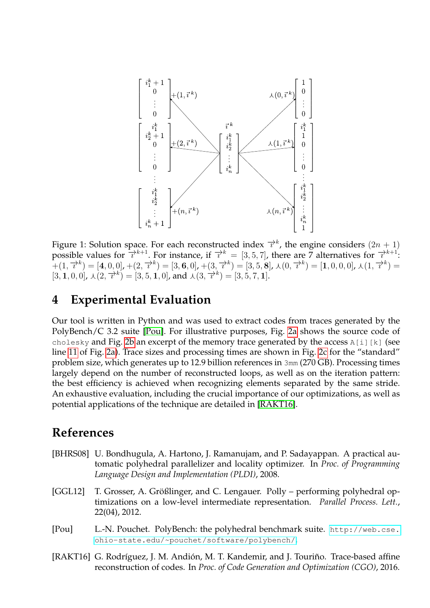<span id="page-2-3"></span>

Figure 1: Solution space. For each reconstructed index  $\overrightarrow{\tau}^k$ , the engine considers  $(2n + 1)$ possible values for  $\frac{1}{l} \lambda^{k+1}$ . For instance, if  $\lambda^{k} = [3, 5, 7]$ , there are 7 alternatives for  $\lambda^{k+1}$ .  $A^{\text{L}}(1,\overrightarrow{x}^{k}) = [4,0,0],+(2,\overrightarrow{x}^{k}) = [3,6,0],+(3,\overrightarrow{x}^{k}) = [3,5,8], \lambda(0,\overrightarrow{x}^{k}) = [1,0,0,0], \lambda(1,\overrightarrow{x}^{k}) = [1,0,0,0],$  $[3, 1, 0, 0]$ ,  $\lambda(2, \overrightarrow{x}^k) = [3, 5, 1, 0]$ , and  $\lambda(3, \overrightarrow{x}^k) = [3, 5, 7, 1]$ .

### **4 Experimental Evaluation**

Our tool is written in Python and was used to extract codes from traces generated by the PolyBench/C 3.2 suite [\[Pou\]](#page-2-4). For illustrative purposes, Fig. [2a](#page-3-0) shows the source code of cholesky and Fig. [2b](#page-3-0) an excerpt of the memory trace generated by the access  $A[i][k]$  (see line [11](#page-3-1) of Fig. [2a\)](#page-3-0). Trace sizes and processing times are shown in Fig. [2c](#page-3-0) for the "standard" problem size, which generates up to 12.9 billion references in 3mm (270 GB). Processing times largely depend on the number of reconstructed loops, as well as on the iteration pattern: the best efficiency is achieved when recognizing elements separated by the same stride. An exhaustive evaluation, including the crucial importance of our optimizations, as well as potential applications of the technique are detailed in [\[RAKT16\]](#page-2-2).

#### **References**

- <span id="page-2-0"></span>[BHRS08] U. Bondhugula, A. Hartono, J. Ramanujam, and P. Sadayappan. A practical automatic polyhedral parallelizer and locality optimizer. In *Proc. of Programming Language Design and Implementation (PLDI)*, 2008.
- <span id="page-2-1"></span>[GGL12] T. Grosser, A. Größlinger, and C. Lengauer. Polly – performing polyhedral optimizations on a low-level intermediate representation. *Parallel Process. Lett.*, 22(04), 2012.
- <span id="page-2-4"></span>[Pou] L.-N. Pouchet. PolyBench: the polyhedral benchmark suite. [http://web.cse.](http://web.cse.ohio-state.edu/~pouchet/software/polybench/) [ohio-state.edu/~pouchet/software/polybench/](http://web.cse.ohio-state.edu/~pouchet/software/polybench/).
- <span id="page-2-2"></span>[RAKT16] G. Rodríguez, J. M. Andión, M. T. Kandemir, and J. Touriño. Trace-based affine reconstruction of codes. In *Proc. of Code Generation and Optimization (CGO)*, 2016.